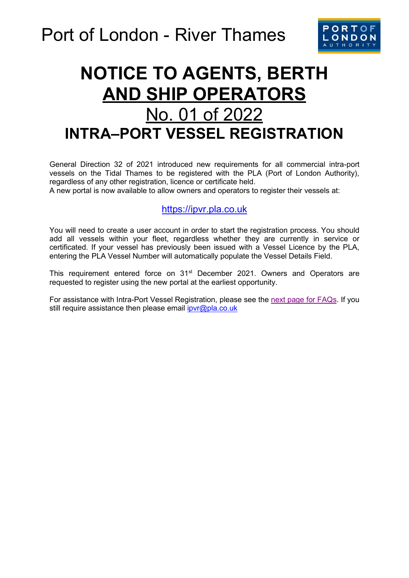

## **NOTICE TO AGENTS, BERTH AND SHIP OPERATORS**  No. 01 of 2022 **INTRA–PORT VESSEL REGISTRATION**

General Direction 32 of 2021 introduced new requirements for all commercial intra-port vessels on the Tidal Thames to be registered with the PLA (Port of London Authority), regardless of any other registration, licence or certificate held.

A new portal is now available to allow owners and operators to register their vessels at:

## [https://ipvr.pla.co.uk](https://ipvr.pla.co.uk/)

You will need to create a user account in order to start the registration process. You should add all vessels within your fleet, regardless whether they are currently in service or certificated. If your vessel has previously been issued with a Vessel Licence by the PLA, entering the PLA Vessel Number will automatically populate the Vessel Details Field.

This requirement entered force on 31<sup>st</sup> December 2021. Owners and Operators are requested to register using the new portal at the earliest opportunity.

For assistance with Intra-Port Vessel Registration, please see the [next page for FAQs.](#page-1-0) If you still require assistance then please email *ipvr@pla.co.uk*